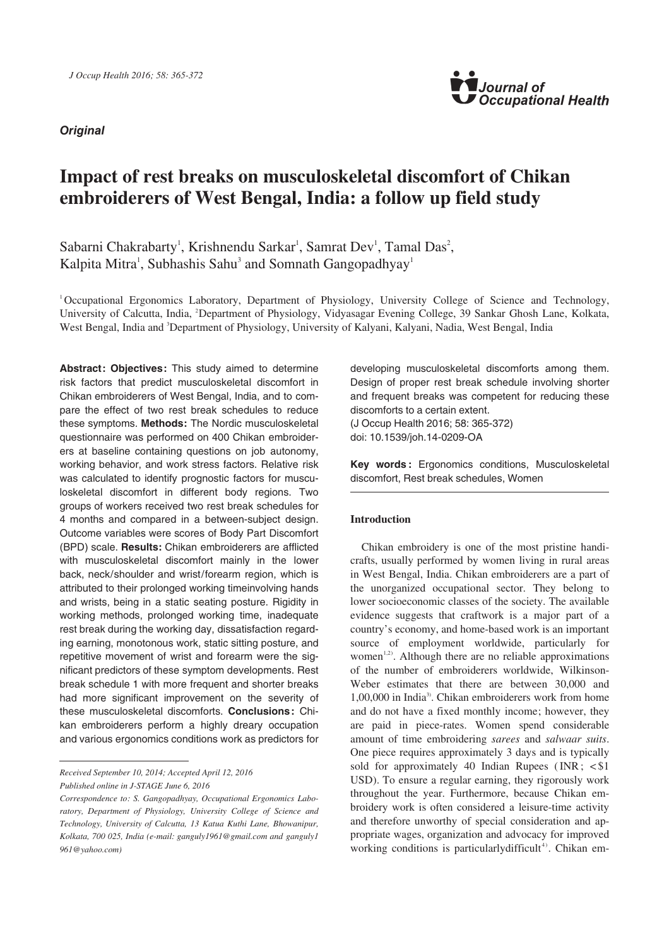**Original**



# **Impact of rest breaks on musculoskeletal discomfort of Chikan embroiderers of West Bengal, India: a follow up field study**

Sabarni Chakrabarty<sup>1</sup>, Krishnendu Sarkar<sup>1</sup>, Samrat Dev<sup>1</sup>, Tamal Das<sup>2</sup>, Kalpita Mitra<sup>1</sup>, Subhashis Sahu<sup>3</sup> and Somnath Gangopadhyay<sup>1</sup>

1 Occupational Ergonomics Laboratory, Department of Physiology, University College of Science and Technology, University of Calcutta, India, <sup>2</sup>Department of Physiology, Vidyasagar Evening College, 39 Sankar Ghosh Lane, Kolkata, West Bengal, India and <sup>3</sup>Department of Physiology, University of Kalyani, Kalyani, Nadia, West Bengal, India

Abstract: Objectives: This study aimed to determine risk factors that predict musculoskeletal discomfort in Chikan embroiderers of West Bengal, India, and to compare the effect of two rest break schedules to reduce these symptoms. **Methods:** The Nordic musculoskeletal questionnaire was performed on 400 Chikan embroiderers at baseline containing questions on job autonomy, working behavior, and work stress factors. Relative risk was calculated to identify prognostic factors for musculoskeletal discomfort in different body regions. Two groups of workers received two rest break schedules for 4 months and compared in a between-subject design. Outcome variables were scores of Body Part Discomfort (BPD) scale. **Results:** Chikan embroiderers are afflicted with musculoskeletal discomfort mainly in the lower back, neck/shoulder and wrist/forearm region, which is attributed to their prolonged working timeinvolving hands and wrists, being in a static seating posture. Rigidity in working methods, prolonged working time, inadequate rest break during the working day, dissatisfaction regarding earning, monotonous work, static sitting posture, and repetitive movement of wrist and forearm were the significant predictors of these symptom developments. Rest break schedule 1 with more frequent and shorter breaks had more significant improvement on the severity of these musculoskeletal discomforts. **Conclusions :** Chikan embroiderers perform a highly dreary occupation and various ergonomics conditions work as predictors for

*Received September 10, 2014; Accepted April 12, 2016 Published online in J-STAGE June 6, 2016*

developing musculoskeletal discomforts among them. Design of proper rest break schedule involving shorter and frequent breaks was competent for reducing these discomforts to a certain extent.

(J Occup Health 2016; 58: 365-372) doi: 10.1539/joh.14-0209-OA

**Key words :** Ergonomics conditions, Musculoskeletal discomfort, Rest break schedules, Women

# **Introduction**

Chikan embroidery is one of the most pristine handicrafts, usually performed by women living in rural areas in West Bengal, India. Chikan embroiderers are a part of the unorganized occupational sector. They belong to lower socioeconomic classes of the society. The available evidence suggests that craftwork is a major part of a country's economy, and home-based work is an important source of employment worldwide, particularly for women<sup>1,2)</sup>. Although there are no reliable approximations of the number of embroiderers worldwide, Wilkinson-Weber estimates that there are between 30,000 and 1,00,000 in India3). Chikan embroiderers work from home and do not have a fixed monthly income; however, they are paid in piece-rates. Women spend considerable amount of time embroidering *sarees* and *salwaar suits*. One piece requires approximately 3 days and is typically sold for approximately 40 Indian Rupees ( $INR$ ;  $\lt$ \$1 USD). To ensure a regular earning, they rigorously work throughout the year. Furthermore, because Chikan embroidery work is often considered a leisure-time activity and therefore unworthy of special consideration and appropriate wages, organization and advocacy for improved working conditions is particularly difficult<sup>4)</sup>. Chikan em-

*Correspondence to: S. Gangopadhyay, Occupational Ergonomics Laboratory, Department of Physiology, University College of Science and Technology, University of Calcutta, 13 Katua Kuthi Lane, Bhowanipur, Kolkata, 700 025, India (e-mail: ganguly1961@gmail.com and ganguly1 961@yahoo.com)*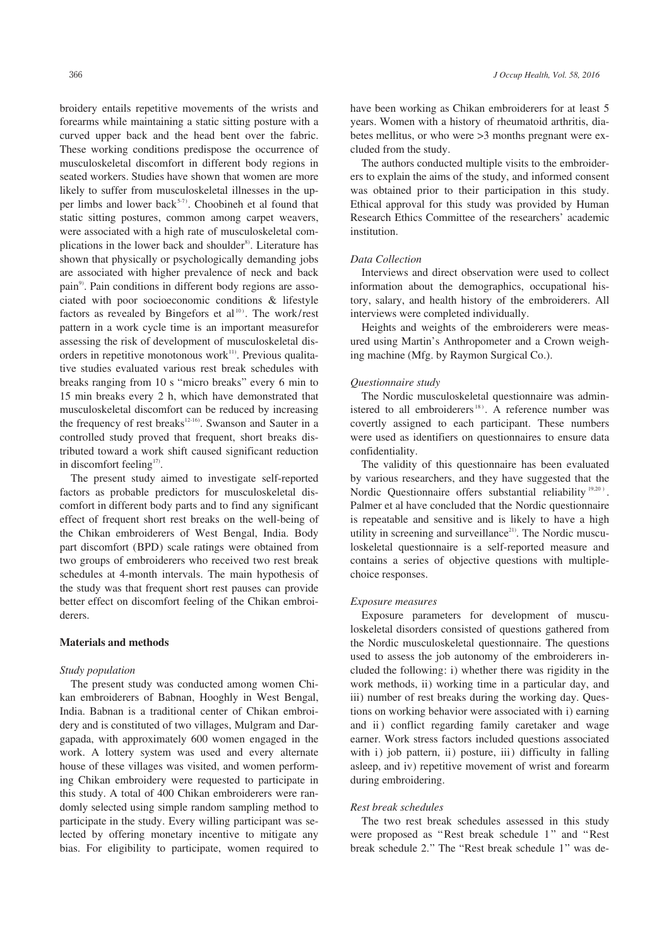broidery entails repetitive movements of the wrists and forearms while maintaining a static sitting posture with a curved upper back and the head bent over the fabric. These working conditions predispose the occurrence of musculoskeletal discomfort in different body regions in seated workers. Studies have shown that women are more likely to suffer from musculoskeletal illnesses in the upper limbs and lower back $5-7$ . Choobineh et al found that static sitting postures, common among carpet weavers, were associated with a high rate of musculoskeletal complications in the lower back and shoulder<sup>8)</sup>. Literature has shown that physically or psychologically demanding jobs are associated with higher prevalence of neck and back pain<sup>9)</sup>. Pain conditions in different body regions are associated with poor socioeconomic conditions & lifestyle factors as revealed by Bingefors et al<sup>10)</sup>. The work/rest pattern in a work cycle time is an important measurefor assessing the risk of development of musculoskeletal disorders in repetitive monotonous work $11$ <sup>11</sup>. Previous qualitative studies evaluated various rest break schedules with breaks ranging from 10 s "micro breaks" every 6 min to 15 min breaks every 2 h, which have demonstrated that musculoskeletal discomfort can be reduced by increasing the frequency of rest breaks<sup>12-16</sup>). Swanson and Sauter in a controlled study proved that frequent, short breaks distributed toward a work shift caused significant reduction in discomfort feeling<sup>17)</sup>.

The present study aimed to investigate self-reported factors as probable predictors for musculoskeletal discomfort in different body parts and to find any significant effect of frequent short rest breaks on the well-being of the Chikan embroiderers of West Bengal, India. Body part discomfort (BPD) scale ratings were obtained from two groups of embroiderers who received two rest break schedules at 4-month intervals. The main hypothesis of the study was that frequent short rest pauses can provide better effect on discomfort feeling of the Chikan embroiderers.

#### **Materials and methods**

# *Study population*

The present study was conducted among women Chikan embroiderers of Babnan, Hooghly in West Bengal, India. Babnan is a traditional center of Chikan embroidery and is constituted of two villages, Mulgram and Dargapada, with approximately 600 women engaged in the work. A lottery system was used and every alternate house of these villages was visited, and women performing Chikan embroidery were requested to participate in this study. A total of 400 Chikan embroiderers were randomly selected using simple random sampling method to participate in the study. Every willing participant was selected by offering monetary incentive to mitigate any bias. For eligibility to participate, women required to

have been working as Chikan embroiderers for at least 5 years. Women with a history of rheumatoid arthritis, diabetes mellitus, or who were >3 months pregnant were excluded from the study.

The authors conducted multiple visits to the embroiderers to explain the aims of the study, and informed consent was obtained prior to their participation in this study. Ethical approval for this study was provided by Human Research Ethics Committee of the researchers' academic institution.

# *Data Collection*

Interviews and direct observation were used to collect information about the demographics, occupational history, salary, and health history of the embroiderers. All interviews were completed individually.

Heights and weights of the embroiderers were measured using Martin's Anthropometer and a Crown weighing machine (Mfg. by Raymon Surgical Co.).

# *Questionnaire study*

The Nordic musculoskeletal questionnaire was administered to all embroiderers<sup>18</sup>). A reference number was covertly assigned to each participant. These numbers were used as identifiers on questionnaires to ensure data confidentiality.

The validity of this questionnaire has been evaluated by various researchers, and they have suggested that the Nordic Questionnaire offers substantial reliability <sup>19,20</sup>). Palmer et al have concluded that the Nordic questionnaire is repeatable and sensitive and is likely to have a high utility in screening and surveillance<sup>21)</sup>. The Nordic musculoskeletal questionnaire is a self-reported measure and contains a series of objective questions with multiplechoice responses.

#### *Exposure measures*

Exposure parameters for development of musculoskeletal disorders consisted of questions gathered from the Nordic musculoskeletal questionnaire. The questions used to assess the job autonomy of the embroiderers included the following: i) whether there was rigidity in the work methods, ii) working time in a particular day, and iii) number of rest breaks during the working day. Questions on working behavior were associated with i) earning and ii) conflict regarding family caretaker and wage earner. Work stress factors included questions associated with i) job pattern, ii) posture, iii) difficulty in falling asleep, and iv) repetitive movement of wrist and forearm during embroidering.

#### *Rest break schedules*

The two rest break schedules assessed in this study were proposed as "Rest break schedule 1" and "Rest break schedule 2." The "Rest break schedule 1" was de-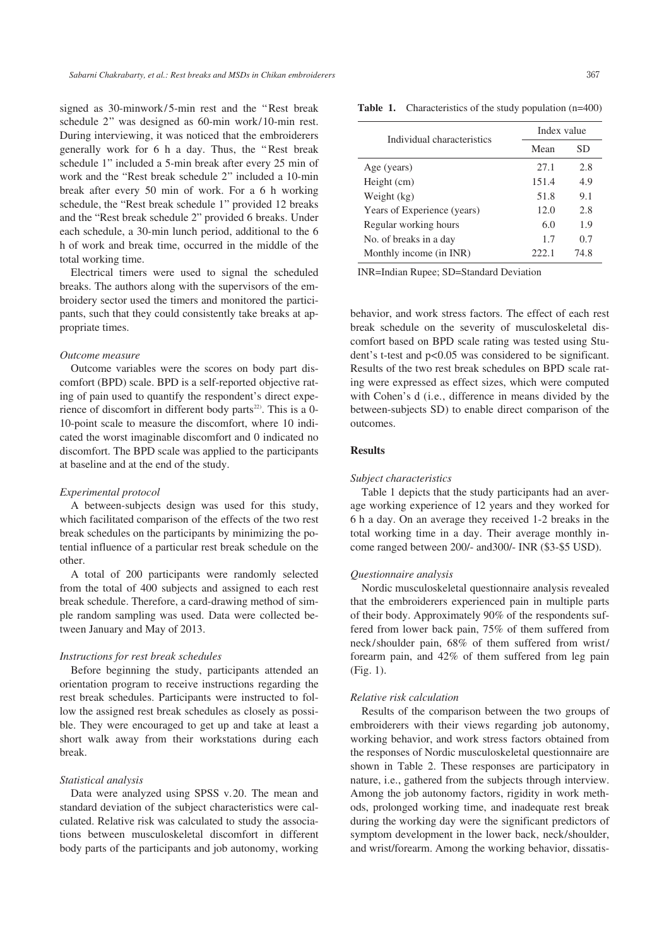signed as 30-minwork/5-min rest and the "Rest break schedule 2" was designed as 60-min work/10-min rest. During interviewing, it was noticed that the embroiderers generally work for 6 h a day. Thus, the " Rest break schedule 1" included a 5-min break after every 25 min of work and the "Rest break schedule 2" included a 10-min break after every 50 min of work. For a 6 h working schedule, the "Rest break schedule 1" provided 12 breaks and the "Rest break schedule 2" provided 6 breaks. Under each schedule, a 30-min lunch period, additional to the 6 h of work and break time, occurred in the middle of the total working time.

Electrical timers were used to signal the scheduled breaks. The authors along with the supervisors of the embroidery sector used the timers and monitored the participants, such that they could consistently take breaks at appropriate times.

# *Outcome measure*

Outcome variables were the scores on body part discomfort (BPD) scale. BPD is a self-reported objective rating of pain used to quantify the respondent's direct experience of discomfort in different body parts<sup>22)</sup>. This is a 0-10-point scale to measure the discomfort, where 10 indicated the worst imaginable discomfort and 0 indicated no discomfort. The BPD scale was applied to the participants at baseline and at the end of the study.

#### *Experimental protocol*

A between-subjects design was used for this study, which facilitated comparison of the effects of the two rest break schedules on the participants by minimizing the potential influence of a particular rest break schedule on the other.

A total of 200 participants were randomly selected from the total of 400 subjects and assigned to each rest break schedule. Therefore, a card-drawing method of simple random sampling was used. Data were collected between January and May of 2013.

# *Instructions for rest break schedules*

Before beginning the study, participants attended an orientation program to receive instructions regarding the rest break schedules. Participants were instructed to follow the assigned rest break schedules as closely as possible. They were encouraged to get up and take at least a short walk away from their workstations during each break.

# *Statistical analysis*

Data were analyzed using SPSS v.20. The mean and standard deviation of the subject characteristics were calculated. Relative risk was calculated to study the associations between musculoskeletal discomfort in different body parts of the participants and job autonomy, working

**Table 1.** Characteristics of the study population (n=400)

| Individual characteristics  | Index value |      |  |
|-----------------------------|-------------|------|--|
|                             | Mean        | SD   |  |
| Age (years)                 | 27.1        | 2.8  |  |
| Height (cm)                 | 151.4       | 4.9  |  |
| Weight (kg)                 | 51.8        | 9.1  |  |
| Years of Experience (years) | 12.0        | 2.8  |  |
| Regular working hours       | 6.0         | 1.9  |  |
| No. of breaks in a day      | 1.7         | 0.7  |  |
| Monthly income (in INR)     | 222.1       | 74.8 |  |

INR=Indian Rupee; SD=Standard Deviation

behavior, and work stress factors. The effect of each rest break schedule on the severity of musculoskeletal discomfort based on BPD scale rating was tested using Student's t-test and p<0.05 was considered to be significant. Results of the two rest break schedules on BPD scale rating were expressed as effect sizes, which were computed with Cohen's d (i.e., difference in means divided by the between-subjects SD) to enable direct comparison of the outcomes.

# **Results**

#### *Subject characteristics*

Table 1 depicts that the study participants had an average working experience of 12 years and they worked for 6 h a day. On an average they received 1-2 breaks in the total working time in a day. Their average monthly income ranged between 200/- and300/- INR (\$3-\$5 USD).

# *Questionnaire analysis*

Nordic musculoskeletal questionnaire analysis revealed that the embroiderers experienced pain in multiple parts of their body. Approximately 90% of the respondents suffered from lower back pain, 75% of them suffered from neck/shoulder pain, 68% of them suffered from wrist/ forearm pain, and 42% of them suffered from leg pain (Fig. 1).

# *Relative risk calculation*

Results of the comparison between the two groups of embroiderers with their views regarding job autonomy, working behavior, and work stress factors obtained from the responses of Nordic musculoskeletal questionnaire are shown in Table 2. These responses are participatory in nature, i.e., gathered from the subjects through interview. Among the job autonomy factors, rigidity in work methods, prolonged working time, and inadequate rest break during the working day were the significant predictors of symptom development in the lower back, neck/shoulder, and wrist/forearm. Among the working behavior, dissatis-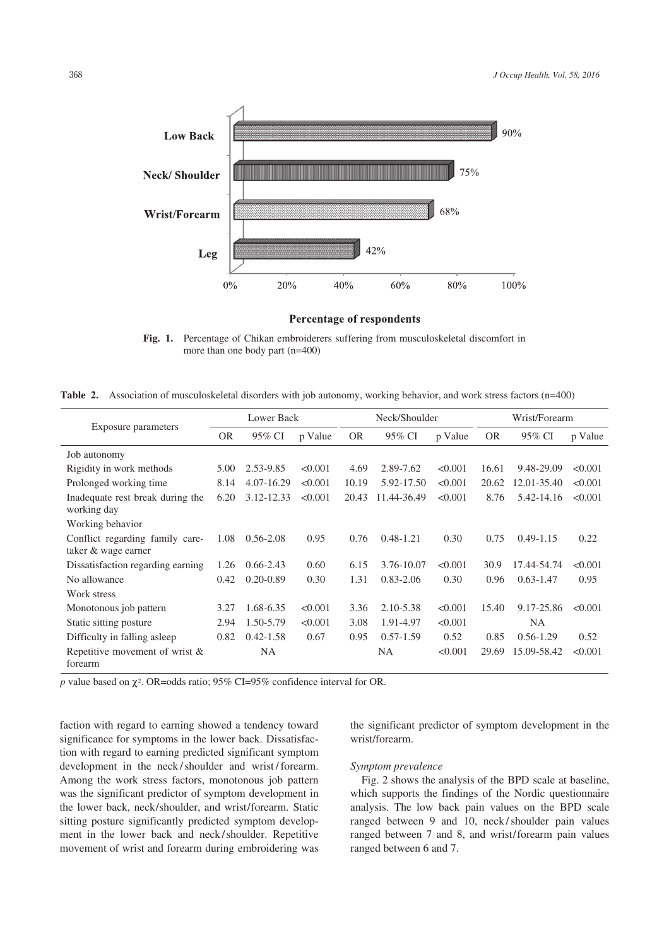

#### **Percentage of respondents**

**Fig. 1.** Percentage of Chikan embroiderers suffering from musculoskeletal discomfort in more than one body part (n=400)

**Table 2.** Association of musculoskeletal disorders with job autonomy, working behavior, and work stress factors (n=400)

| Exposure parameters                             | Lower Back |               | Neck/Shoulder |           |               | Wrist/Forearm |       |               |         |
|-------------------------------------------------|------------|---------------|---------------|-----------|---------------|---------------|-------|---------------|---------|
|                                                 | OR.        | 95% CI        | p Value       | <b>OR</b> | 95% CI        | p Value       | OR.   | 95% CI        | p Value |
| Job autonomy                                    |            |               |               |           |               |               |       |               |         |
| Rigidity in work methods                        | 5.00       | 2.53-9.85     | < 0.001       | 4.69      | 2.89-7.62     | < 0.001       | 16.61 | 9.48-29.09    | < 0.001 |
| Prolonged working time                          | 8.14       | 4.07-16.29    | < 0.001       | 10.19     | 5.92-17.50    | < 0.001       | 20.62 | 12.01-35.40   | < 0.001 |
| Inadequate rest break during the<br>working day | 6.20       | 3.12-12.33    | < 0.001       | 20.43     | 11.44-36.49   | < 0.001       | 8.76  | 5.42-14.16    | < 0.001 |
| Working behavior                                |            |               |               |           |               |               |       |               |         |
| Conflict regarding family care-                 | 1.08       | $0.56 - 2.08$ | 0.95          | 0.76      | $0.48 - 1.21$ | 0.30          | 0.75  | $0.49 - 1.15$ | 0.22    |
| taker & wage earner                             |            |               |               |           |               |               |       |               |         |
| Dissatisfaction regarding earning               | 1.26       | $0.66 - 2.43$ | 0.60          | 6.15      | 3.76-10.07    | < 0.001       | 30.9  | 17.44-54.74   | < 0.001 |
| No allowance                                    | 0.42       | $0.20 - 0.89$ | 0.30          | 1.31      | $0.83 - 2.06$ | 0.30          | 0.96  | $0.63 - 1.47$ | 0.95    |
| Work stress                                     |            |               |               |           |               |               |       |               |         |
| Monotonous job pattern                          | 3.27       | 1.68-6.35     | < 0.001       | 3.36      | 2.10-5.38     | < 0.001       | 15.40 | 9.17-25.86    | < 0.001 |
| Static sitting posture                          | 2.94       | 1.50-5.79     | < 0.001       | 3.08      | 1.91-4.97     | < 0.001       |       | <b>NA</b>     |         |
| Difficulty in falling as leep                   | 0.82       | $0.42 - 1.58$ | 0.67          | 0.95      | $0.57 - 1.59$ | 0.52          | 0.85  | $0.56 - 1.29$ | 0.52    |
| Repetitive movement of wrist $\&$<br>forearm    |            | <b>NA</b>     |               |           | <b>NA</b>     | < 0.001       | 29.69 | 15.09-58.42   | < 0.001 |

*p* value based on  $\chi^2$ . OR=odds ratio; 95% CI=95% confidence interval for OR.

faction with regard to earning showed a tendency toward significance for symptoms in the lower back. Dissatisfaction with regard to earning predicted significant symptom development in the neck / shoulder and wrist / forearm. Among the work stress factors, monotonous job pattern was the significant predictor of symptom development in the lower back, neck/shoulder, and wrist/forearm. Static sitting posture significantly predicted symptom development in the lower back and neck /shoulder. Repetitive movement of wrist and forearm during embroidering was the significant predictor of symptom development in the wrist/forearm.

# *Symptom prevalence*

Fig. 2 shows the analysis of the BPD scale at baseline, which supports the findings of the Nordic questionnaire analysis. The low back pain values on the BPD scale ranged between 9 and 10, neck / shoulder pain values ranged between 7 and 8, and wrist/forearm pain values ranged between 6 and 7.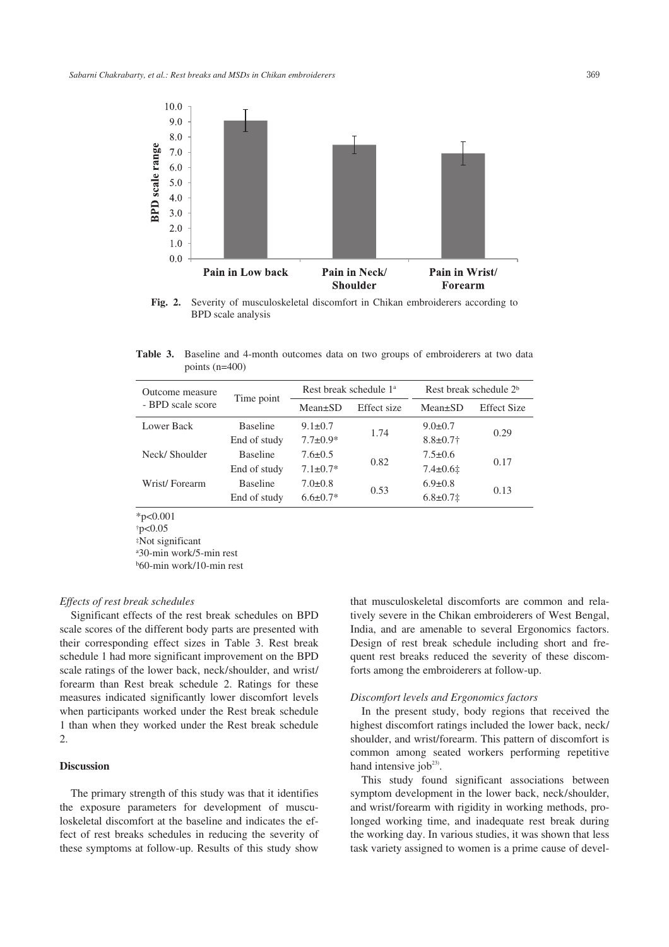

**Fig. 2.** Severity of musculoskeletal discomfort in Chikan embroiderers according to BPD scale analysis

**Table 3.** Baseline and 4-month outcomes data on two groups of embroiderers at two data points (n=400)

| Outcome measure<br>- BPD scale score | Time point      | Rest break schedule 1 <sup>a</sup> |             | Rest break schedule 2 <sup>b</sup> |                    |  |
|--------------------------------------|-----------------|------------------------------------|-------------|------------------------------------|--------------------|--|
|                                      |                 | $Mean \pm SD$                      | Effect size | $Mean \pm SD$                      | <b>Effect Size</b> |  |
| Lower Back                           | <b>Baseline</b> | $9.1 \pm 0.7$                      | 1.74        | $9.0 \pm 0.7$                      | 0.29               |  |
|                                      | End of study    | $7.7 \pm 0.9*$                     |             | $8.8 \pm 0.7$ †                    |                    |  |
| Neck/Shoulder                        | <b>Baseline</b> | $7.6 \pm 0.5$                      | 0.82        | $7.5 \pm 0.6$                      | 0.17               |  |
|                                      | End of study    | $7.1 \pm 0.7*$                     |             | $7.4 \pm 0.61$                     |                    |  |
| Wrist/Forearm                        | <b>Baseline</b> | $7.0 \pm 0.8$                      | 0.53        | $6.9 \pm 0.8$                      | 0.13               |  |
|                                      | End of study    | $6.6 \pm 0.7*$                     |             | $6.8 \pm 0.7$ $\ddagger$           |                    |  |

\*p<0.001

†p<0.05

‡Not significant

a 30-min work/5-min rest

b 60-min work/10-min rest

# *Effects of rest break schedules*

Significant effects of the rest break schedules on BPD scale scores of the different body parts are presented with their corresponding effect sizes in Table 3. Rest break schedule 1 had more significant improvement on the BPD scale ratings of the lower back, neck/shoulder, and wrist/ forearm than Rest break schedule 2. Ratings for these measures indicated significantly lower discomfort levels when participants worked under the Rest break schedule 1 than when they worked under the Rest break schedule 2.

#### **Discussion**

The primary strength of this study was that it identifies the exposure parameters for development of musculoskeletal discomfort at the baseline and indicates the effect of rest breaks schedules in reducing the severity of these symptoms at follow-up. Results of this study show that musculoskeletal discomforts are common and relatively severe in the Chikan embroiderers of West Bengal, India, and are amenable to several Ergonomics factors. Design of rest break schedule including short and frequent rest breaks reduced the severity of these discomforts among the embroiderers at follow-up.

# *Discomfort levels and Ergonomics factors*

In the present study, body regions that received the highest discomfort ratings included the lower back, neck/ shoulder, and wrist/forearm. This pattern of discomfort is common among seated workers performing repetitive hand intensive job $23$ .

This study found significant associations between symptom development in the lower back, neck/shoulder, and wrist/forearm with rigidity in working methods, prolonged working time, and inadequate rest break during the working day. In various studies, it was shown that less task variety assigned to women is a prime cause of devel-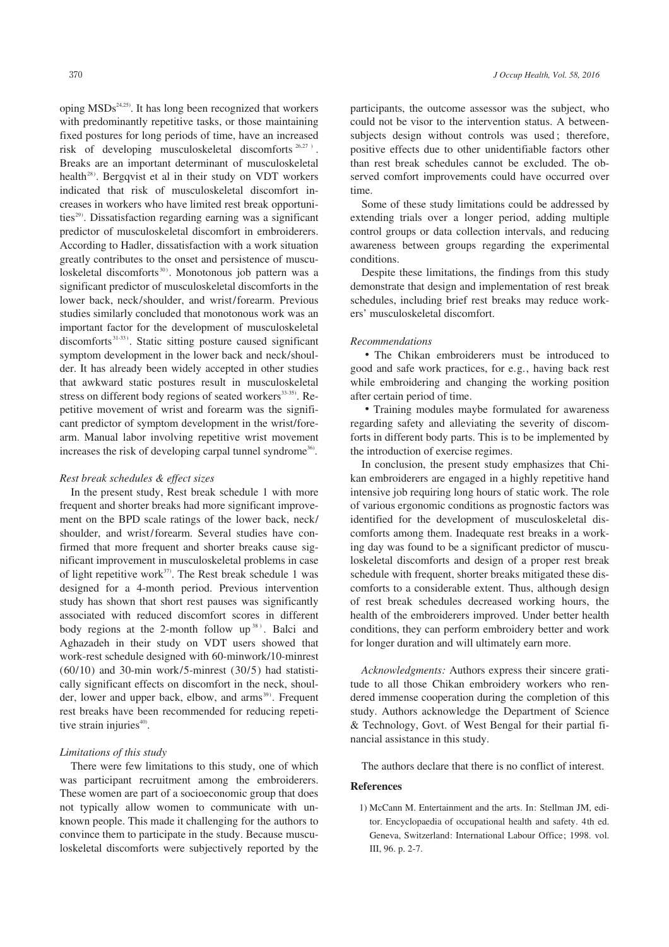oping MSDs<sup>24,25</sup>). It has long been recognized that workers with predominantly repetitive tasks, or those maintaining fixed postures for long periods of time, have an increased risk of developing musculoskeletal discomforts 26,27 ) . Breaks are an important determinant of musculoskeletal health<sup>28)</sup>. Bergqvist et al in their study on VDT workers indicated that risk of musculoskeletal discomfort increases in workers who have limited rest break opportunities $29$ ). Dissatisfaction regarding earning was a significant predictor of musculoskeletal discomfort in embroiderers. According to Hadler, dissatisfaction with a work situation greatly contributes to the onset and persistence of musculoskeletal discomforts<sup>30)</sup>. Monotonous job pattern was a significant predictor of musculoskeletal discomforts in the lower back, neck/shoulder, and wrist/forearm. Previous studies similarly concluded that monotonous work was an important factor for the development of musculoskeletal discomforts 31-33 ). Static sitting posture caused significant symptom development in the lower back and neck/shoulder. It has already been widely accepted in other studies that awkward static postures result in musculoskeletal stress on different body regions of seated workers<sup>33-35)</sup>. Repetitive movement of wrist and forearm was the significant predictor of symptom development in the wrist/forearm. Manual labor involving repetitive wrist movement increases the risk of developing carpal tunnel syndrome<sup>36</sup>.

#### *Rest break schedules & effect sizes*

In the present study, Rest break schedule 1 with more frequent and shorter breaks had more significant improvement on the BPD scale ratings of the lower back, neck/ shoulder, and wrist/forearm. Several studies have confirmed that more frequent and shorter breaks cause significant improvement in musculoskeletal problems in case of light repetitive work<sup>37)</sup>. The Rest break schedule 1 was designed for a 4-month period. Previous intervention study has shown that short rest pauses was significantly associated with reduced discomfort scores in different body regions at the 2-month follow  $up^{38}$ . Balci and Aghazadeh in their study on VDT users showed that work-rest schedule designed with 60-minwork/10-minrest (60/10) and 30-min work/5-minrest (30/5) had statistically significant effects on discomfort in the neck, shoulder, lower and upper back, elbow, and arms<sup>39)</sup>. Frequent rest breaks have been recommended for reducing repetitive strain injuries<sup>40)</sup>.

### *Limitations of this study*

There were few limitations to this study, one of which was participant recruitment among the embroiderers. These women are part of a socioeconomic group that does not typically allow women to communicate with unknown people. This made it challenging for the authors to convince them to participate in the study. Because musculoskeletal discomforts were subjectively reported by the

participants, the outcome assessor was the subject, who could not be visor to the intervention status. A betweensubjects design without controls was used ; therefore, positive effects due to other unidentifiable factors other than rest break schedules cannot be excluded. The observed comfort improvements could have occurred over time.

Some of these study limitations could be addressed by extending trials over a longer period, adding multiple control groups or data collection intervals, and reducing awareness between groups regarding the experimental conditions.

Despite these limitations, the findings from this study demonstrate that design and implementation of rest break schedules, including brief rest breaks may reduce workers' musculoskeletal discomfort.

# *Recommendations*

•The Chikan embroiderers must be introduced to good and safe work practices, for e.g., having back rest while embroidering and changing the working position after certain period of time.

•Training modules maybe formulated for awareness regarding safety and alleviating the severity of discomforts in different body parts. This is to be implemented by the introduction of exercise regimes.

In conclusion, the present study emphasizes that Chikan embroiderers are engaged in a highly repetitive hand intensive job requiring long hours of static work. The role of various ergonomic conditions as prognostic factors was identified for the development of musculoskeletal discomforts among them. Inadequate rest breaks in a working day was found to be a significant predictor of musculoskeletal discomforts and design of a proper rest break schedule with frequent, shorter breaks mitigated these discomforts to a considerable extent. Thus, although design of rest break schedules decreased working hours, the health of the embroiderers improved. Under better health conditions, they can perform embroidery better and work for longer duration and will ultimately earn more.

*Acknowledgments:* Authors express their sincere gratitude to all those Chikan embroidery workers who rendered immense cooperation during the completion of this study. Authors acknowledge the Department of Science & Technology, Govt. of West Bengal for their partial financial assistance in this study.

The authors declare that there is no conflict of interest.

# **References**

1) McCann M. Entertainment and the arts. In: Stellman JM, editor. Encyclopaedia of occupational health and safety. 4th ed. Geneva, Switzerland: International Labour Office; 1998. vol. III, 96. p. 2-7.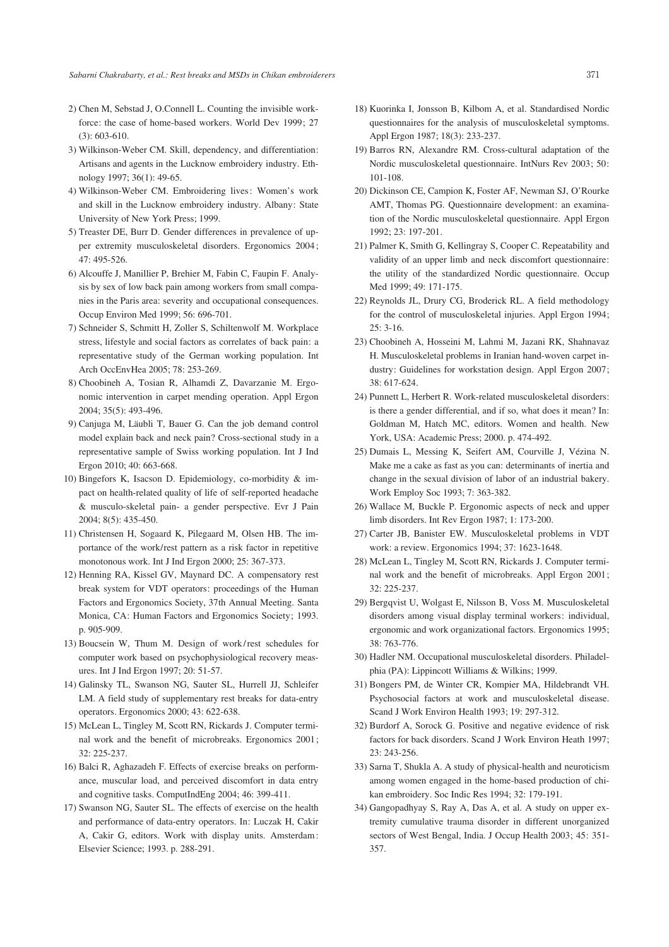- 2) Chen M, Sebstad J, O.Connell L. Counting the invisible workforce: the case of home-based workers. World Dev 1999; 27 (3): 603-610.
- 3) Wilkinson-Weber CM. Skill, dependency, and differentiation: Artisans and agents in the Lucknow embroidery industry. Ethnology 1997; 36(1): 49-65.
- 4) Wilkinson-Weber CM. Embroidering lives: Women's work and skill in the Lucknow embroidery industry. Albany: State University of New York Press; 1999.
- 5) Treaster DE, Burr D. Gender differences in prevalence of upper extremity musculoskeletal disorders. Ergonomics 2004 ; 47: 495-526.
- 6) Alcouffe J, Manillier P, Brehier M, Fabin C, Faupin F. Analysis by sex of low back pain among workers from small companies in the Paris area: severity and occupational consequences. Occup Environ Med 1999; 56: 696-701.
- 7) Schneider S, Schmitt H, Zoller S, Schiltenwolf M. Workplace stress, lifestyle and social factors as correlates of back pain: a representative study of the German working population. Int Arch OccEnvHea 2005; 78: 253-269.
- 8) Choobineh A, Tosian R, Alhamdi Z, Davarzanie M. Ergonomic intervention in carpet mending operation. Appl Ergon 2004; 35(5): 493-496.
- 9) Canjuga M, Läubli T, Bauer G. Can the job demand control model explain back and neck pain? Cross-sectional study in a representative sample of Swiss working population. Int J Ind Ergon 2010; 40: 663-668.
- 10) Bingefors K, Isacson D. Epidemiology, co-morbidity & impact on health-related quality of life of self-reported headache & musculo-skeletal pain- a gender perspective. Evr J Pain 2004; 8(5): 435-450.
- 11) Christensen H, Sogaard K, Pilegaard M, Olsen HB. The importance of the work/rest pattern as a risk factor in repetitive monotonous work. Int J Ind Ergon 2000; 25: 367-373.
- 12) Henning RA, Kissel GV, Maynard DC. A compensatory rest break system for VDT operators: proceedings of the Human Factors and Ergonomics Society, 37th Annual Meeting. Santa Monica, CA: Human Factors and Ergonomics Society; 1993. p. 905-909.
- 13) Boucsein W, Thum M. Design of work /rest schedules for computer work based on psychophysiological recovery measures. Int J Ind Ergon 1997; 20: 51-57.
- 14) Galinsky TL, Swanson NG, Sauter SL, Hurrell JJ, Schleifer LM. A field study of supplementary rest breaks for data-entry operators. Ergonomics 2000; 43: 622-638.
- 15) McLean L, Tingley M, Scott RN, Rickards J. Computer terminal work and the benefit of microbreaks. Ergonomics 2001; 32: 225-237.
- 16) Balci R, Aghazadeh F. Effects of exercise breaks on performance, muscular load, and perceived discomfort in data entry and cognitive tasks. ComputIndEng 2004; 46: 399-411.
- 17) Swanson NG, Sauter SL. The effects of exercise on the health and performance of data-entry operators. In: Luczak H, Cakir A, Cakir G, editors. Work with display units. Amsterdam: Elsevier Science; 1993. p. 288-291.
- 18) Kuorinka I, Jonsson B, Kilbom A, et al. Standardised Nordic questionnaires for the analysis of musculoskeletal symptoms. Appl Ergon 1987; 18(3): 233-237.
- 19) Barros RN, Alexandre RM. Cross-cultural adaptation of the Nordic musculoskeletal questionnaire. IntNurs Rev 2003; 50: 101-108.
- 20) Dickinson CE, Campion K, Foster AF, Newman SJ, O'Rourke AMT, Thomas PG. Questionnaire development: an examination of the Nordic musculoskeletal questionnaire. Appl Ergon 1992; 23: 197-201.
- 21) Palmer K, Smith G, Kellingray S, Cooper C. Repeatability and validity of an upper limb and neck discomfort questionnaire: the utility of the standardized Nordic questionnaire. Occup Med 1999; 49: 171-175.
- 22) Reynolds JL, Drury CG, Broderick RL. A field methodology for the control of musculoskeletal injuries. Appl Ergon 1994;  $25: 3-16.$
- 23) Choobineh A, Hosseini M, Lahmi M, Jazani RK, Shahnavaz H. Musculoskeletal problems in Iranian hand-woven carpet industry: Guidelines for workstation design. Appl Ergon 2007; 38: 617-624.
- 24) Punnett L, Herbert R. Work-related musculoskeletal disorders: is there a gender differential, and if so, what does it mean? In: Goldman M, Hatch MC, editors. Women and health. New York, USA: Academic Press; 2000. p. 474-492.
- 25) Dumais L, Messing K, Seifert AM, Courville J, Vézina N. Make me a cake as fast as you can: determinants of inertia and change in the sexual division of labor of an industrial bakery. Work Employ Soc 1993; 7: 363-382.
- 26) Wallace M, Buckle P. Ergonomic aspects of neck and upper limb disorders. Int Rev Ergon 1987; 1: 173-200.
- 27) Carter JB, Banister EW. Musculoskeletal problems in VDT work: a review. Ergonomics 1994; 37: 1623-1648.
- 28) McLean L, Tingley M, Scott RN, Rickards J. Computer terminal work and the benefit of microbreaks. Appl Ergon 2001; 32: 225-237.
- 29) Bergqvist U, Wolgast E, Nilsson B, Voss M. Musculoskeletal disorders among visual display terminal workers: individual, ergonomic and work organizational factors. Ergonomics 1995; 38: 763-776.
- 30) Hadler NM. Occupational musculoskeletal disorders. Philadelphia (PA): Lippincott Williams & Wilkins; 1999.
- 31) Bongers PM, de Winter CR, Kompier MA, Hildebrandt VH. Psychosocial factors at work and musculoskeletal disease. Scand J Work Environ Health 1993; 19: 297-312.
- 32) Burdorf A, Sorock G. Positive and negative evidence of risk factors for back disorders. Scand J Work Environ Heath 1997; 23: 243-256.
- 33) Sarna T, Shukla A. A study of physical-health and neuroticism among women engaged in the home-based production of chikan embroidery. Soc Indic Res 1994; 32: 179-191.
- 34) Gangopadhyay S, Ray A, Das A, et al. A study on upper extremity cumulative trauma disorder in different unorganized sectors of West Bengal, India. J Occup Health 2003; 45: 351- 357.